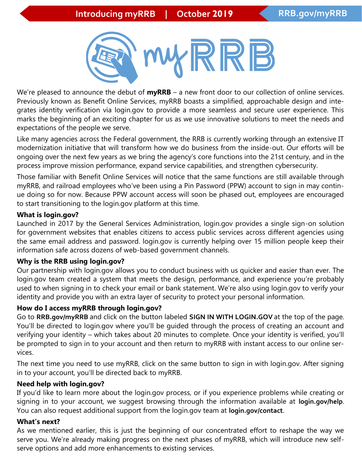

We're pleased to announce the debut of **myRRB** – a new front door to our collection of online services. Previously known as Benefit Online Services, myRRB boasts a simplified, approachable design and integrates identity verification via login.gov to provide a more seamless and secure user experience. This marks the beginning of an exciting chapter for us as we use innovative solutions to meet the needs and expectations of the people we serve.

Like many agencies across the Federal government, the RRB is currently working through an extensive IT modernization initiative that will transform how we do business from the inside-out. Our efforts will be ongoing over the next few years as we bring the agency's core functions into the 21st century, and in the process improve mission performance, expand service capabilities, and strengthen cybersecurity.

Those familiar with Benefit Online Services will notice that the same functions are still available through myRRB, and railroad employees who've been using a Pin Password (PPW) account to sign in may continue doing so for now. Because PPW account access will soon be phased out, employees are encouraged to start transitioning to the login.gov platform at this time.

#### **What is login.gov?**

Launched in 2017 by the General Services Administration, login.gov provides a single sign-on solution for government websites that enables citizens to access public services across different agencies using the same email address and password. login.gov is currently helping over 15 million people keep their information safe across dozens of web-based government channels.

#### **Why is the RRB using login.gov?**

Our partnership with login.gov allows you to conduct business with us quicker and easier than ever. The login.gov team created a system that meets the design, performance, and experience you're probably used to when signing in to check your email or bank statement. We're also using login.gov to verify your identity and provide you with an extra layer of security to protect your personal information.

### **How do I access myRRB through login.gov?**

Go to **RRB.gov/myRRB** and click on the button labeled **SIGN IN WITH LOGIN.GOV** at the top of the page. You'll be directed to login.gov where you'll be guided through the process of creating an account and verifying your identity – which takes about 20 minutes to complete. Once your identity is verified, you'll be prompted to sign in to your account and then return to myRRB with instant access to our online services.

The next time you need to use myRRB, click on the same button to sign in with login.gov. After signing in to your account, you'll be directed back to myRRB.

#### **Need help with login.gov?**

If you'd like to learn more about the login.gov process, or if you experience problems while creating or signing in to your account, we suggest browsing through the information available at **login.gov/help**. You can also request additional support from the login.gov team at **login.gov/contact**.

#### **What's next?**

As we mentioned earlier, this is just the beginning of our concentrated effort to reshape the way we serve you. We're already making progress on the next phases of myRRB, which will introduce new selfserve options and add more enhancements to existing services.